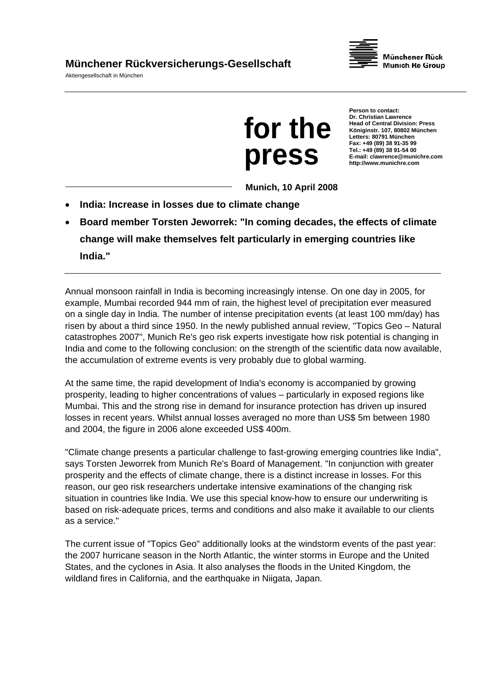Aktiengesellschaft in München





**Person to contact: Dr. Christian Lawrence Head of Central Division: Press Königinstr. 107, 80802 München Letters: 80791 München Fax: +49 (89) 38 91-35 99 Tel.: +49 (89) 38 91-54 00 E-mail: clawrence@munichre.com http://www.munichre.com**

**Munich, 10 April 2008** 

- **India: Increase in losses due to climate change**
- **Board member Torsten Jeworrek: "In coming decades, the effects of climate change will make themselves felt particularly in emerging countries like India."**

Annual monsoon rainfall in India is becoming increasingly intense. On one day in 2005, for example, Mumbai recorded 944 mm of rain, the highest level of precipitation ever measured on a single day in India. The number of intense precipitation events (at least 100 mm/day) has risen by about a third since 1950. In the newly published annual review, "Topics Geo – Natural catastrophes 2007", Munich Re's geo risk experts investigate how risk potential is changing in India and come to the following conclusion: on the strength of the scientific data now available, the accumulation of extreme events is very probably due to global warming.

At the same time, the rapid development of India's economy is accompanied by growing prosperity, leading to higher concentrations of values – particularly in exposed regions like Mumbai. This and the strong rise in demand for insurance protection has driven up insured losses in recent years. Whilst annual losses averaged no more than US\$ 5m between 1980 and 2004, the figure in 2006 alone exceeded US\$ 400m.

"Climate change presents a particular challenge to fast-growing emerging countries like India", says Torsten Jeworrek from Munich Re's Board of Management. "In conjunction with greater prosperity and the effects of climate change, there is a distinct increase in losses. For this reason, our geo risk researchers undertake intensive examinations of the changing risk situation in countries like India. We use this special know-how to ensure our underwriting is based on risk-adequate prices, terms and conditions and also make it available to our clients as a service."

The current issue of "Topics Geo" additionally looks at the windstorm events of the past year: the 2007 hurricane season in the North Atlantic, the winter storms in Europe and the United States, and the cyclones in Asia. It also analyses the floods in the United Kingdom, the wildland fires in California, and the earthquake in Niigata, Japan.